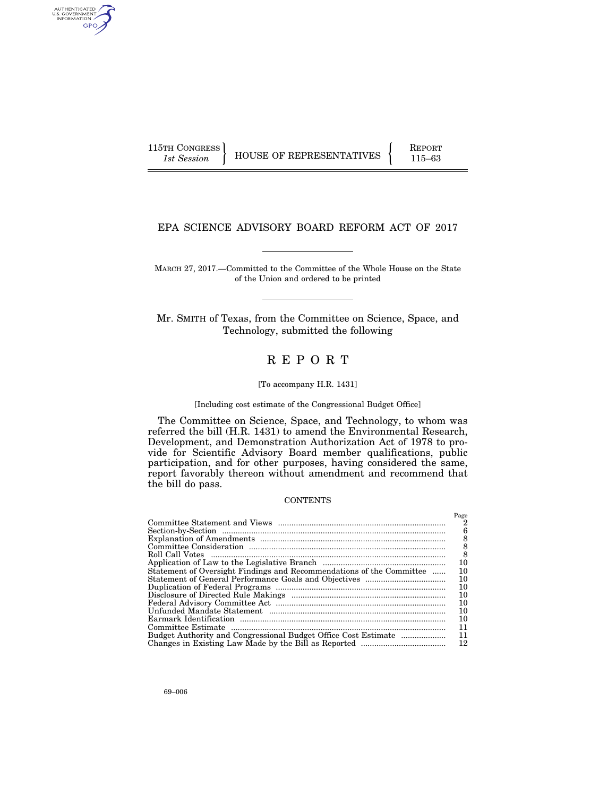AUTHENTICATED<br>U.S. GOVERNMENT<br>INFORMATION GPO

115TH CONGRESS **REPORT 115-63** HOUSE OF REPRESENTATIVES **115–63** 

# EPA SCIENCE ADVISORY BOARD REFORM ACT OF 2017

MARCH 27, 2017.—Committed to the Committee of the Whole House on the State of the Union and ordered to be printed

Mr. SMITH of Texas, from the Committee on Science, Space, and Technology, submitted the following

# R E P O R T

#### [To accompany H.R. 1431]

[Including cost estimate of the Congressional Budget Office]

The Committee on Science, Space, and Technology, to whom was referred the bill (H.R. 1431) to amend the Environmental Research, Development, and Demonstration Authorization Act of 1978 to provide for Scientific Advisory Board member qualifications, public participation, and for other purposes, having considered the same, report favorably thereon without amendment and recommend that the bill do pass.

# **CONTENTS**

|                                                                      | Page |
|----------------------------------------------------------------------|------|
|                                                                      | 2    |
|                                                                      | 6    |
|                                                                      | 8    |
|                                                                      | 8    |
|                                                                      | 8    |
|                                                                      | 10   |
| Statement of Oversight Findings and Recommendations of the Committee | 10   |
|                                                                      | 10   |
|                                                                      | 10   |
|                                                                      | 10   |
|                                                                      | 10   |
|                                                                      | 10   |
|                                                                      | 10   |
|                                                                      | 11   |
|                                                                      | 11   |
|                                                                      | 12   |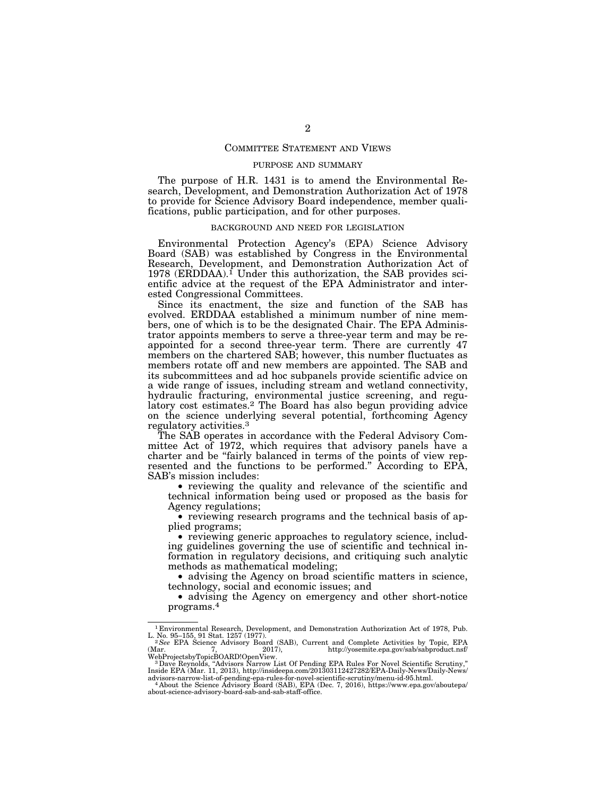# COMMITTEE STATEMENT AND VIEWS

# PURPOSE AND SUMMARY

The purpose of H.R. 1431 is to amend the Environmental Research, Development, and Demonstration Authorization Act of 1978 to provide for Science Advisory Board independence, member qualifications, public participation, and for other purposes.

#### BACKGROUND AND NEED FOR LEGISLATION

Environmental Protection Agency's (EPA) Science Advisory Board (SAB) was established by Congress in the Environmental Research, Development, and Demonstration Authorization Act of 1978 (ERDDAA).<sup>1</sup> Under this authorization, the SAB provides scientific advice at the request of the EPA Administrator and interested Congressional Committees.

Since its enactment, the size and function of the SAB has evolved. ERDDAA established a minimum number of nine members, one of which is to be the designated Chair. The EPA Administrator appoints members to serve a three-year term and may be reappointed for a second three-year term. There are currently 47 members on the chartered SAB; however, this number fluctuates as members rotate off and new members are appointed. The SAB and its subcommittees and ad hoc subpanels provide scientific advice on a wide range of issues, including stream and wetland connectivity, hydraulic fracturing, environmental justice screening, and regulatory cost estimates.<sup>2</sup> The Board has also begun providing advice on the science underlying several potential, forthcoming Agency regulatory activities.3

The SAB operates in accordance with the Federal Advisory Committee Act of 1972, which requires that advisory panels have a charter and be ''fairly balanced in terms of the points of view represented and the functions to be performed.'' According to EPA, SAB's mission includes:

• reviewing the quality and relevance of the scientific and technical information being used or proposed as the basis for Agency regulations;

• reviewing research programs and the technical basis of applied programs;

• reviewing generic approaches to regulatory science, including guidelines governing the use of scientific and technical information in regulatory decisions, and critiquing such analytic methods as mathematical modeling;

• advising the Agency on broad scientific matters in science, technology, social and economic issues; and

• advising the Agency on emergency and other short-notice programs.4

<sup>1</sup> Environmental Research, Development, and Demonstration Authorization Act of 1978, Pub.

L. No. 95–155, 91 Stat. 1257 (1977).<br><sup>2</sup> See EPA Science Advisory Board (SAB), Current and Complete Activities by Topic, EPA (Mar. 7, 2017).<br>http://yosemite.epa.gov/sab/sabproduct.nsf/

WebProjectsbyTopicBOARD!OpenView.<br>" 3 Dave Reynolds, "Advisors Narrow List Of Pending EPA Rules For Novel Scientific Scrutiny,"<br>Inside EPA (Mar. 11, 2013), http://insideepa.com/201303112427282/EPA-Daily-News/Daily-News/

advisors-narrow-list-of-pending-epa-rules-for-novel-scientific-scrutiny/menu-id-95.html.<br>
4 About the Science Advisory Board (SAB), EPA (Dec. 7, 2016), https://www.epa.gov/aboutepa/ about-science-advisory-board-sab-and-sab-staff-office.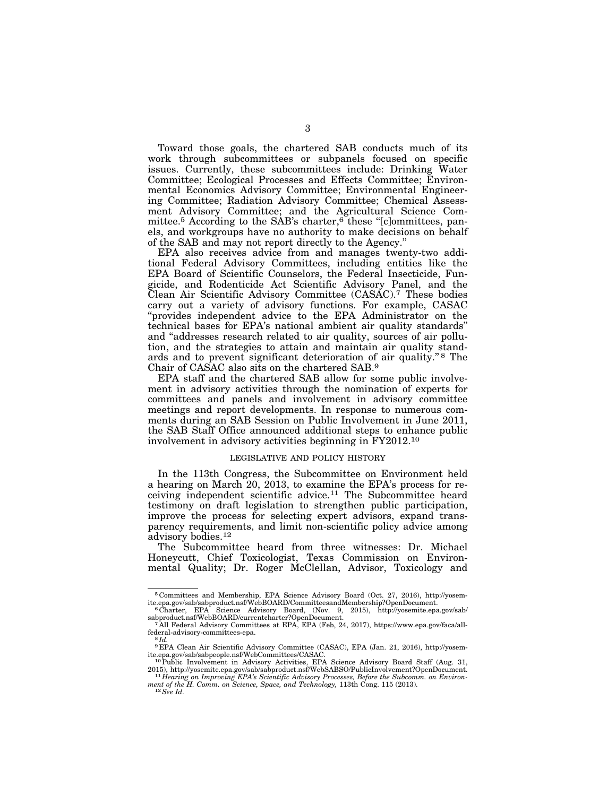Toward those goals, the chartered SAB conducts much of its work through subcommittees or subpanels focused on specific issues. Currently, these subcommittees include: Drinking Water Committee; Ecological Processes and Effects Committee; Environmental Economics Advisory Committee; Environmental Engineering Committee; Radiation Advisory Committee; Chemical Assessment Advisory Committee; and the Agricultural Science Committee.<sup>5</sup> According to the SAB's charter,<sup>6</sup> these "[c]ommittees, panels, and workgroups have no authority to make decisions on behalf of the SAB and may not report directly to the Agency.''

EPA also receives advice from and manages twenty-two additional Federal Advisory Committees, including entities like the EPA Board of Scientific Counselors, the Federal Insecticide, Fungicide, and Rodenticide Act Scientific Advisory Panel, and the Clean Air Scientific Advisory Committee (CASAC).7 These bodies carry out a variety of advisory functions. For example, CASAC ''provides independent advice to the EPA Administrator on the technical bases for EPA's national ambient air quality standards'' and ''addresses research related to air quality, sources of air pollution, and the strategies to attain and maintain air quality standards and to prevent significant deterioration of air quality."<sup>8</sup> The Chair of CASAC also sits on the chartered SAB.9

EPA staff and the chartered SAB allow for some public involvement in advisory activities through the nomination of experts for committees and panels and involvement in advisory committee meetings and report developments. In response to numerous comments during an SAB Session on Public Involvement in June 2011, the SAB Staff Office announced additional steps to enhance public involvement in advisory activities beginning in FY2012.10

# LEGISLATIVE AND POLICY HISTORY

In the 113th Congress, the Subcommittee on Environment held a hearing on March 20, 2013, to examine the EPA's process for receiving independent scientific advice.11 The Subcommittee heard testimony on draft legislation to strengthen public participation, improve the process for selecting expert advisors, expand transparency requirements, and limit non-scientific policy advice among advisory bodies.12

The Subcommittee heard from three witnesses: Dr. Michael Honeycutt, Chief Toxicologist, Texas Commission on Environmental Quality; Dr. Roger McClellan, Advisor, Toxicology and

<sup>5</sup> Committees and Membership, EPA Science Advisory Board (Oct. 27, 2016), http://yosem-

<sup>&</sup>lt;sup>6</sup>Charter, EPA Science Advisory Board, (Nov. 9, 2015), http://yosemite.epa.gov/sab/<br>sabproduct.nsf/WebBOARD/currentcharter?OpenDocument.

sabbit.nsf/WebBoard/Currentcharter.nsf/WebBoard/Current.<br>Tall Federal Advisory Committees at EPA, EPA (Feb, 24, 2017), https://www.epa.gov/faca/allfederal-advisory-committees-epa. 8 *Id.* 

<sup>9</sup> EPA Clean Air Scientific Advisory Committee (CASAC), EPA (Jan. 21, 2016), http://yosemite.epa.gov/sab/sabpeople.nsf/WebCommittees/CASAC.<br><sup>10</sup>Public Involvement in Advisory Activities, EPA Science Advisory Board Staff (Aug. 31,

<sup>2015),</sup> http://yosemite.epa.gov/sab/sabproduct.nsf/WebSABSO/PublicInvolvement?OpenDocument. 11 *Hearing on Improving EPA's Scientific Advisory Processes, Before the Subcomm. on Environ-*

*ment of the H. Comm. on Science, Space, and Technology,* 113th Cong. 115 (2013). 12*See Id.*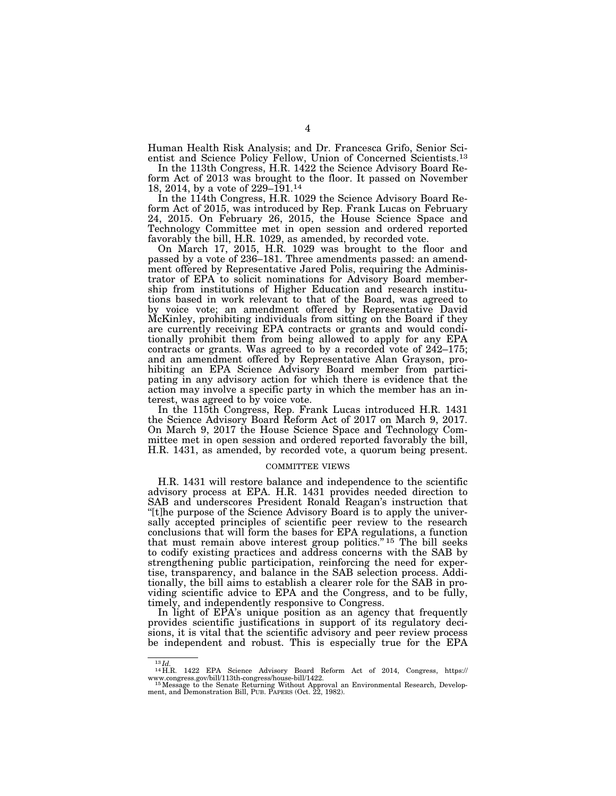Human Health Risk Analysis; and Dr. Francesca Grifo, Senior Scientist and Science Policy Fellow, Union of Concerned Scientists.13

In the 113th Congress, H.R. 1422 the Science Advisory Board Reform Act of 2013 was brought to the floor. It passed on November 18, 2014, by a vote of 229–191.14

In the 114th Congress, H.R. 1029 the Science Advisory Board Reform Act of 2015, was introduced by Rep. Frank Lucas on February 24, 2015. On February 26, 2015, the House Science Space and Technology Committee met in open session and ordered reported favorably the bill, H.R. 1029, as amended, by recorded vote.

On March 17, 2015, H.R. 1029 was brought to the floor and passed by a vote of 236–181. Three amendments passed: an amendment offered by Representative Jared Polis, requiring the Administrator of EPA to solicit nominations for Advisory Board membership from institutions of Higher Education and research institutions based in work relevant to that of the Board, was agreed to by voice vote; an amendment offered by Representative David McKinley, prohibiting individuals from sitting on the Board if they are currently receiving EPA contracts or grants and would conditionally prohibit them from being allowed to apply for any EPA contracts or grants. Was agreed to by a recorded vote of 242–175; and an amendment offered by Representative Alan Grayson, prohibiting an EPA Science Advisory Board member from participating in any advisory action for which there is evidence that the action may involve a specific party in which the member has an interest, was agreed to by voice vote.

In the 115th Congress, Rep. Frank Lucas introduced H.R. 1431 the Science Advisory Board Reform Act of 2017 on March 9, 2017. On March 9, 2017 the House Science Space and Technology Committee met in open session and ordered reported favorably the bill, H.R. 1431, as amended, by recorded vote, a quorum being present.

#### COMMITTEE VIEWS

H.R. 1431 will restore balance and independence to the scientific advisory process at EPA. H.R. 1431 provides needed direction to SAB and underscores President Ronald Reagan's instruction that ''[t]he purpose of the Science Advisory Board is to apply the universally accepted principles of scientific peer review to the research conclusions that will form the bases for EPA regulations, a function that must remain above interest group politics."<sup>15</sup> The bill seeks to codify existing practices and address concerns with the SAB by strengthening public participation, reinforcing the need for expertise, transparency, and balance in the SAB selection process. Additionally, the bill aims to establish a clearer role for the SAB in providing scientific advice to EPA and the Congress, and to be fully, timely, and independently responsive to Congress.

In light of EPA's unique position as an agency that frequently provides scientific justifications in support of its regulatory decisions, it is vital that the scientific advisory and peer review process be independent and robust. This is especially true for the EPA

<sup>13</sup> *Id.* <sup>14</sup> H.R. 1422 EPA Science Advisory Board Reform Act of 2014, Congress, https://

www.congress.gov/bill/113th-congress/house-bill/1422. 15Message to the Senate Returning Without Approval an Environmental Research, Develop-ment, and Demonstration Bill, PUB. PAPERS (Oct. 22, 1982).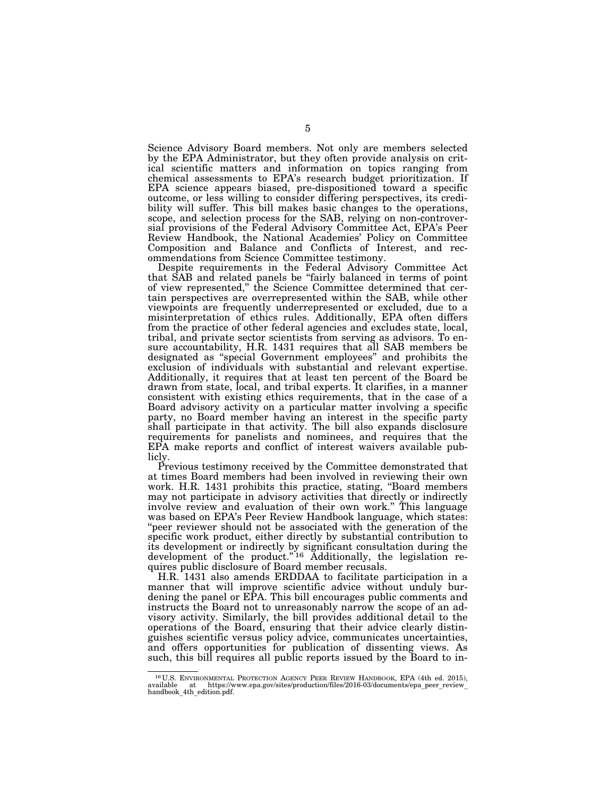Science Advisory Board members. Not only are members selected by the EPA Administrator, but they often provide analysis on critical scientific matters and information on topics ranging from chemical assessments to EPA's research budget prioritization. If EPA science appears biased, pre-dispositioned toward a specific outcome, or less willing to consider differing perspectives, its credibility will suffer. This bill makes basic changes to the operations, scope, and selection process for the SAB, relying on non-controversial provisions of the Federal Advisory Committee Act, EPA's Peer Review Handbook, the National Academies' Policy on Committee Composition and Balance and Conflicts of Interest, and recommendations from Science Committee testimony.

Despite requirements in the Federal Advisory Committee Act that SAB and related panels be ''fairly balanced in terms of point of view represented,'' the Science Committee determined that certain perspectives are overrepresented within the SAB, while other viewpoints are frequently underrepresented or excluded, due to a misinterpretation of ethics rules. Additionally, EPA often differs from the practice of other federal agencies and excludes state, local, tribal, and private sector scientists from serving as advisors. To ensure accountability, H.R. 1431 requires that all SAB members be designated as ''special Government employees'' and prohibits the exclusion of individuals with substantial and relevant expertise. Additionally, it requires that at least ten percent of the Board be drawn from state, local, and tribal experts. It clarifies, in a manner consistent with existing ethics requirements, that in the case of a Board advisory activity on a particular matter involving a specific party, no Board member having an interest in the specific party shall participate in that activity. The bill also expands disclosure requirements for panelists and nominees, and requires that the EPA make reports and conflict of interest waivers available publicly.

Previous testimony received by the Committee demonstrated that at times Board members had been involved in reviewing their own work. H.R. 1431 prohibits this practice, stating, ''Board members may not participate in advisory activities that directly or indirectly involve review and evaluation of their own work.'' This language was based on EPA's Peer Review Handbook language, which states: ''peer reviewer should not be associated with the generation of the specific work product, either directly by substantial contribution to its development or indirectly by significant consultation during the development of the product."<sup>16</sup> Additionally, the legislation requires public disclosure of Board member recusals.

H.R. 1431 also amends ERDDAA to facilitate participation in a manner that will improve scientific advice without unduly burdening the panel or EPA. This bill encourages public comments and instructs the Board not to unreasonably narrow the scope of an advisory activity. Similarly, the bill provides additional detail to the operations of the Board, ensuring that their advice clearly distinguishes scientific versus policy advice, communicates uncertainties, and offers opportunities for publication of dissenting views. As such, this bill requires all public reports issued by the Board to in-

<sup>16</sup> U.S. ENVIRONMENTAL PROTECTION AGENCY PEER REVIEW HANDBOOK, EPA (4th ed. 2015), available at https://www.epa.gov/sites/production/files/2016-03/documents/epa\_peer\_review\_ handbook\_4th\_edition.pdf.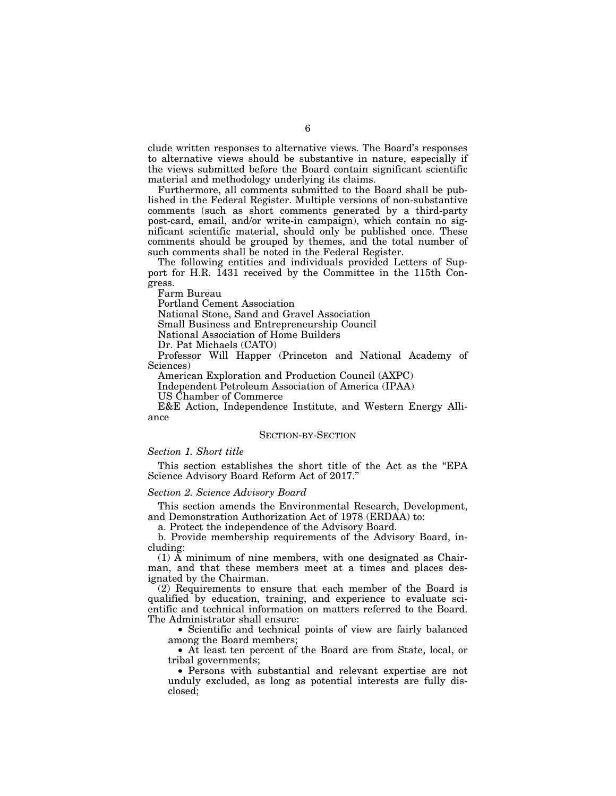clude written responses to alternative views. The Board's responses to alternative views should be substantive in nature, especially if the views submitted before the Board contain significant scientific material and methodology underlying its claims.

Furthermore, all comments submitted to the Board shall be published in the Federal Register. Multiple versions of non-substantive comments (such as short comments generated by a third-party post-card, email, and/or write-in campaign), which contain no significant scientific material, should only be published once. These comments should be grouped by themes, and the total number of such comments shall be noted in the Federal Register.

The following entities and individuals provided Letters of Support for H.R. 1431 received by the Committee in the 115th Congress.

Farm Bureau

Portland Cement Association

National Stone, Sand and Gravel Association

Small Business and Entrepreneurship Council

National Association of Home Builders

Dr. Pat Michaels (CATO)

Professor Will Happer (Princeton and National Academy of Sciences)

American Exploration and Production Council (AXPC)

Independent Petroleum Association of America (IPAA)

US Chamber of Commerce

E&E Action, Independence Institute, and Western Energy Alliance

#### SECTION-BY-SECTION

# *Section 1. Short title*

This section establishes the short title of the Act as the ''EPA Science Advisory Board Reform Act of 2017.''

#### *Section 2. Science Advisory Board*

This section amends the Environmental Research, Development, and Demonstration Authorization Act of 1978 (ERDAA) to:

a. Protect the independence of the Advisory Board.

b. Provide membership requirements of the Advisory Board, including:

(1) A minimum of nine members, with one designated as Chairman, and that these members meet at a times and places designated by the Chairman.

(2) Requirements to ensure that each member of the Board is qualified by education, training, and experience to evaluate scientific and technical information on matters referred to the Board. The Administrator shall ensure:

• Scientific and technical points of view are fairly balanced among the Board members;

• At least ten percent of the Board are from State, local, or tribal governments;

• Persons with substantial and relevant expertise are not unduly excluded, as long as potential interests are fully disclosed;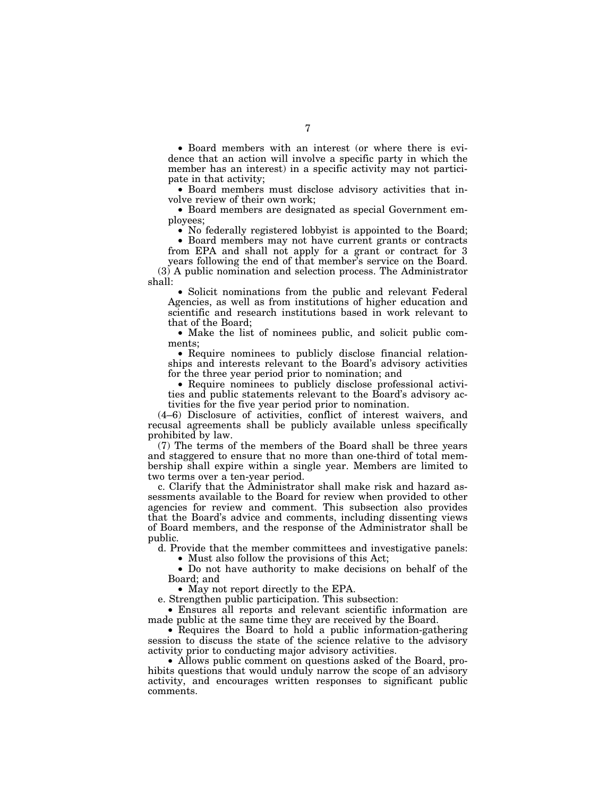• Board members with an interest (or where there is evidence that an action will involve a specific party in which the member has an interest) in a specific activity may not participate in that activity;

• Board members must disclose advisory activities that involve review of their own work;

• Board members are designated as special Government employees;

• No federally registered lobbyist is appointed to the Board;

• Board members may not have current grants or contracts from EPA and shall not apply for a grant or contract for 3 years following the end of that member's service on the Board.

(3) A public nomination and selection process. The Administrator shall:

• Solicit nominations from the public and relevant Federal Agencies, as well as from institutions of higher education and scientific and research institutions based in work relevant to that of the Board;

• Make the list of nominees public, and solicit public comments;

• Require nominees to publicly disclose financial relationships and interests relevant to the Board's advisory activities for the three year period prior to nomination; and

• Require nominees to publicly disclose professional activities and public statements relevant to the Board's advisory activities for the five year period prior to nomination.

(4–6) Disclosure of activities, conflict of interest waivers, and recusal agreements shall be publicly available unless specifically prohibited by law.

(7) The terms of the members of the Board shall be three years and staggered to ensure that no more than one-third of total membership shall expire within a single year. Members are limited to two terms over a ten-year period.

c. Clarify that the Administrator shall make risk and hazard assessments available to the Board for review when provided to other agencies for review and comment. This subsection also provides that the Board's advice and comments, including dissenting views of Board members, and the response of the Administrator shall be public.

d. Provide that the member committees and investigative panels: • Must also follow the provisions of this Act;

• Do not have authority to make decisions on behalf of the Board; and

• May not report directly to the EPA.

e. Strengthen public participation. This subsection:

• Ensures all reports and relevant scientific information are made public at the same time they are received by the Board.

• Requires the Board to hold a public information-gathering session to discuss the state of the science relative to the advisory activity prior to conducting major advisory activities.

• Allows public comment on questions asked of the Board, prohibits questions that would unduly narrow the scope of an advisory activity, and encourages written responses to significant public comments.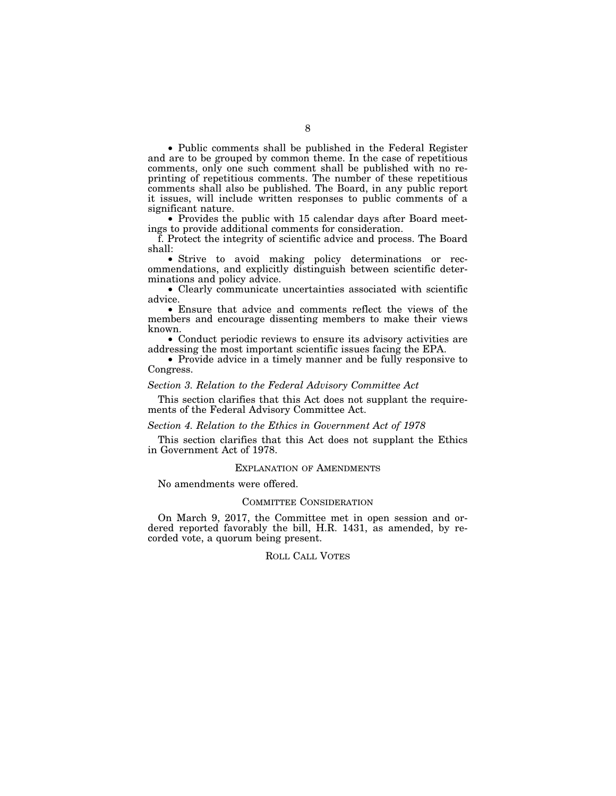• Public comments shall be published in the Federal Register and are to be grouped by common theme. In the case of repetitious comments, only one such comment shall be published with no reprinting of repetitious comments. The number of these repetitious comments shall also be published. The Board, in any public report it issues, will include written responses to public comments of a significant nature.

• Provides the public with 15 calendar days after Board meetings to provide additional comments for consideration.

f. Protect the integrity of scientific advice and process. The Board shall:

• Strive to avoid making policy determinations or recommendations, and explicitly distinguish between scientific determinations and policy advice.

• Clearly communicate uncertainties associated with scientific advice.

• Ensure that advice and comments reflect the views of the members and encourage dissenting members to make their views known.

• Conduct periodic reviews to ensure its advisory activities are addressing the most important scientific issues facing the EPA.

• Provide advice in a timely manner and be fully responsive to Congress.

# *Section 3. Relation to the Federal Advisory Committee Act*

This section clarifies that this Act does not supplant the requirements of the Federal Advisory Committee Act.

# *Section 4. Relation to the Ethics in Government Act of 1978*

This section clarifies that this Act does not supplant the Ethics in Government Act of 1978.

# EXPLANATION OF AMENDMENTS

No amendments were offered.

# COMMITTEE CONSIDERATION

On March 9, 2017, the Committee met in open session and ordered reported favorably the bill, H.R. 1431, as amended, by recorded vote, a quorum being present.

# ROLL CALL VOTES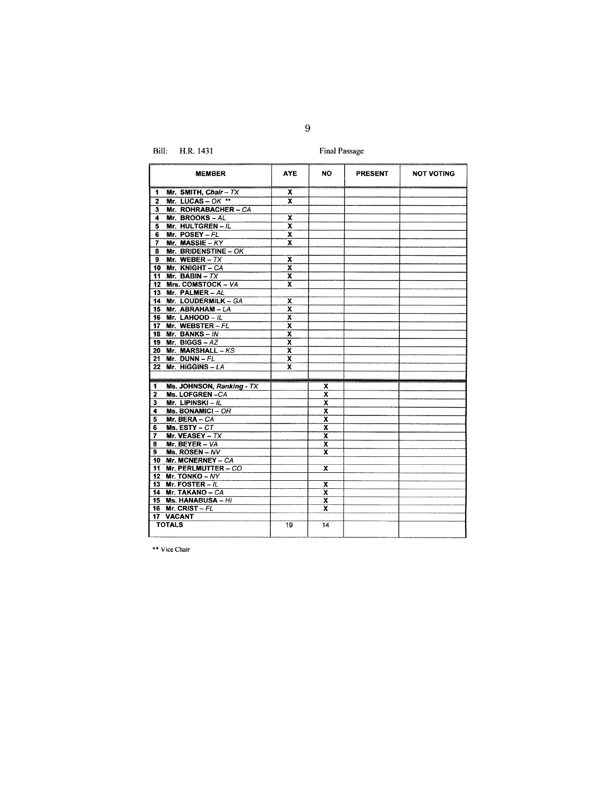Bill: H.R. 1431

**Final Passage** 

| <b>MEMBER</b>                                   | <b>AYE</b>              | NO.                     | PRESENT | <b>NOT VOTING</b> |
|-------------------------------------------------|-------------------------|-------------------------|---------|-------------------|
| $\mathbf{1}$<br>Mr. SMITH, Chair - TX           | x                       |                         |         |                   |
| Mr. LUCAS - OK **<br>2                          | $\overline{\textbf{x}}$ |                         |         |                   |
| $\overline{\mathbf{3}}$<br>Mr. ROHRABACHER - CA |                         |                         |         |                   |
| Mr. BROOKS-AL<br>4                              | x                       |                         |         |                   |
| Mr. HULTGREN - IL<br>5                          | $\overline{\mathbf{x}}$ |                         |         |                   |
| Mr. $POSEY - FL$<br>6                           | $\overline{\mathbf{x}}$ |                         |         |                   |
| Mr. MASSIE - $KY$<br>7                          | x                       |                         |         |                   |
| Mr. BRIDENSTINE - OK<br>8                       |                         |                         |         |                   |
| Mr. WEBER - $TX$<br>9                           | x                       |                         |         |                   |
| 10 Mr. KNIGHT - CA                              | X                       |                         |         |                   |
| Mr. BABIN - $TX$<br>11                          | $\overline{\mathbf{x}}$ |                         |         |                   |
| 12 Mrs. COMSTOCK - VA                           | X                       |                         |         |                   |
| 13 Mr. PALMER-AL                                |                         |                         |         |                   |
| 14 Mr. LOUDERMILK - GA                          | x                       |                         |         |                   |
| 15 Mr. ABRAHAM - LA                             | $\overline{\mathbf{x}}$ |                         |         |                   |
| 16 Mr. LAHOOD - /L                              | x                       |                         |         |                   |
| 17 Mr. WEBSTER-FL                               | $\overline{\mathbf{x}}$ |                         |         |                   |
| 18 Mr. BANKS - $IN$                             | x                       |                         |         |                   |
| 19 Mr. BIGGS - $AZ$                             | $\overline{\mathbf{x}}$ |                         |         |                   |
| 20 Mr. MARSHALL $-KS$                           | $\overline{\mathbf{x}}$ |                         |         |                   |
| Mr. DUNN $-FL$<br>21                            | x                       |                         |         |                   |
| 22 Mr. HIGGINS - LA                             | x                       |                         |         |                   |
|                                                 |                         |                         |         |                   |
| Ms. JOHNSON, Ranking - TX<br>1                  |                         | x                       |         |                   |
| $\overline{\mathbf{2}}$<br>Ms. LOFGREN-CA       |                         | $\overline{\mathbf{x}}$ |         |                   |
| Mr. LIPINSKI - $IL$<br>3                        |                         | x                       |         |                   |
| Ms. BONAMICI-OR<br>4                            |                         | $\overline{\mathbf{x}}$ |         |                   |
| 5<br>Mr. BERA - CA                              |                         | x                       |         |                   |
| Ms. $ESTY - CT$<br>6                            |                         | X                       |         |                   |
| Mr. VEASEY - $TX$<br>7                          |                         | X                       |         |                   |
| Mr. BEYER - VA<br>8                             |                         | x                       |         |                   |
| Ms. ROSEN - NV<br>9                             |                         | x                       |         |                   |
| 10 Mr. MCNERNEY - CA                            |                         |                         |         |                   |
| Mr. PERLMUTTER - CO<br>11                       |                         | x                       |         |                   |
| 12 Mr. TONKO - NY                               |                         |                         |         |                   |
| 13 Mr. FOSTER - $IL$                            |                         | x                       |         |                   |
| 14 Mr. TAKANO - CA                              |                         | $\overline{\mathbf{x}}$ |         |                   |
| 15 Ms. HANABUSA - HI                            |                         | x                       |         |                   |
| 16 Mr. CRIST - $FL$                             |                         | x                       |         |                   |
| 17 VACANT                                       |                         |                         |         |                   |
| <b>TOTALS</b>                                   | 19                      | 14                      |         |                   |

\*\* Vice Chair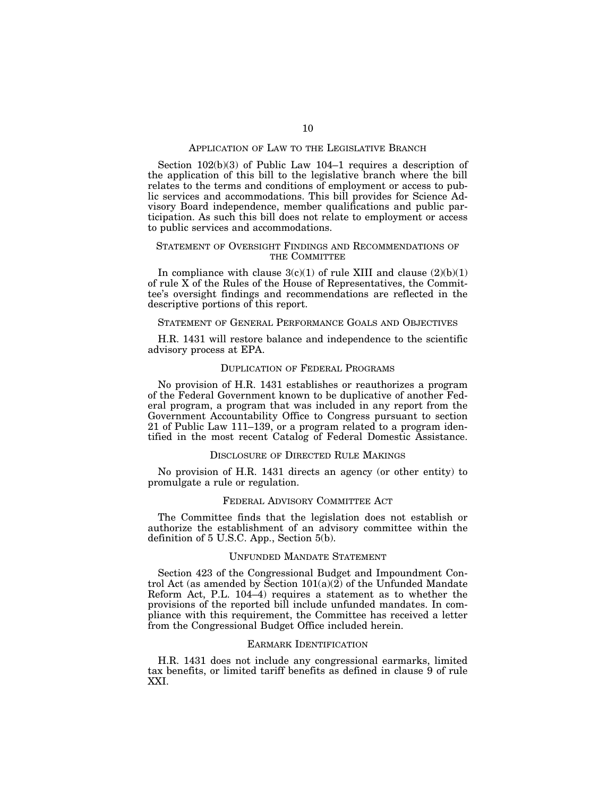# APPLICATION OF LAW TO THE LEGISLATIVE BRANCH

Section 102(b)(3) of Public Law 104–1 requires a description of the application of this bill to the legislative branch where the bill relates to the terms and conditions of employment or access to public services and accommodations. This bill provides for Science Advisory Board independence, member qualifications and public participation. As such this bill does not relate to employment or access to public services and accommodations.

# STATEMENT OF OVERSIGHT FINDINGS AND RECOMMENDATIONS OF THE COMMITTEE

In compliance with clause  $3(c)(1)$  of rule XIII and clause  $(2)(b)(1)$ of rule X of the Rules of the House of Representatives, the Committee's oversight findings and recommendations are reflected in the descriptive portions of this report.

# STATEMENT OF GENERAL PERFORMANCE GOALS AND OBJECTIVES

H.R. 1431 will restore balance and independence to the scientific advisory process at EPA.

# DUPLICATION OF FEDERAL PROGRAMS

No provision of H.R. 1431 establishes or reauthorizes a program of the Federal Government known to be duplicative of another Federal program, a program that was included in any report from the Government Accountability Office to Congress pursuant to section 21 of Public Law 111–139, or a program related to a program identified in the most recent Catalog of Federal Domestic Assistance.

# DISCLOSURE OF DIRECTED RULE MAKINGS

No provision of H.R. 1431 directs an agency (or other entity) to promulgate a rule or regulation.

# FEDERAL ADVISORY COMMITTEE ACT

The Committee finds that the legislation does not establish or authorize the establishment of an advisory committee within the definition of 5 U.S.C. App., Section 5(b).

#### UNFUNDED MANDATE STATEMENT

Section 423 of the Congressional Budget and Impoundment Control Act (as amended by Section 101(a)(2) of the Unfunded Mandate Reform Act, P.L. 104–4) requires a statement as to whether the provisions of the reported bill include unfunded mandates. In compliance with this requirement, the Committee has received a letter from the Congressional Budget Office included herein.

#### EARMARK IDENTIFICATION

H.R. 1431 does not include any congressional earmarks, limited tax benefits, or limited tariff benefits as defined in clause 9 of rule XXI.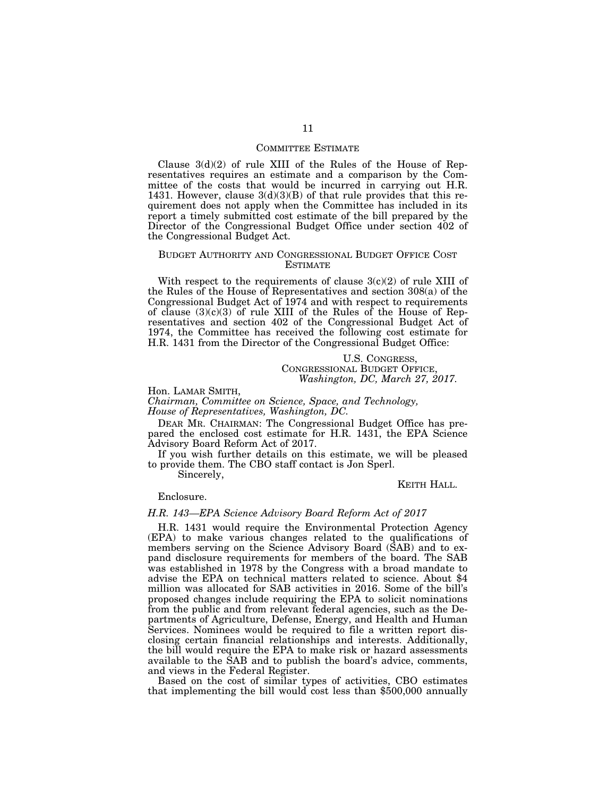# COMMITTEE ESTIMATE

Clause  $3(d)(2)$  of rule XIII of the Rules of the House of Representatives requires an estimate and a comparison by the Committee of the costs that would be incurred in carrying out H.R. 1431. However, clause  $3(d)(3)(B)$  of that rule provides that this requirement does not apply when the Committee has included in its report a timely submitted cost estimate of the bill prepared by the Director of the Congressional Budget Office under section 402 of the Congressional Budget Act.

# BUDGET AUTHORITY AND CONGRESSIONAL BUDGET OFFICE COST ESTIMATE

With respect to the requirements of clause  $3(c)(2)$  of rule XIII of the Rules of the House of Representatives and section 308(a) of the Congressional Budget Act of 1974 and with respect to requirements of clause  $(3)(c)(3)$  of rule XIII of the Rules of the House of Representatives and section 402 of the Congressional Budget Act of 1974, the Committee has received the following cost estimate for H.R. 1431 from the Director of the Congressional Budget Office:

> U.S. CONGRESS, CONGRESSIONAL BUDGET OFFICE, *Washington, DC, March 27, 2017.*

Hon. LAMAR SMITH, *Chairman, Committee on Science, Space, and Technology, House of Representatives, Washington, DC.* 

DEAR MR. CHAIRMAN: The Congressional Budget Office has prepared the enclosed cost estimate for H.R. 1431, the EPA Science Advisory Board Reform Act of 2017.

If you wish further details on this estimate, we will be pleased to provide them. The CBO staff contact is Jon Sperl.

Sincerely,

KEITH HALL.

#### Enclosure.

# *H.R. 143—EPA Science Advisory Board Reform Act of 2017*

H.R. 1431 would require the Environmental Protection Agency (EPA) to make various changes related to the qualifications of members serving on the Science Advisory Board (SAB) and to expand disclosure requirements for members of the board. The SAB was established in 1978 by the Congress with a broad mandate to advise the EPA on technical matters related to science. About \$4 million was allocated for SAB activities in 2016. Some of the bill's proposed changes include requiring the EPA to solicit nominations from the public and from relevant federal agencies, such as the Departments of Agriculture, Defense, Energy, and Health and Human Services. Nominees would be required to file a written report disclosing certain financial relationships and interests. Additionally, the bill would require the EPA to make risk or hazard assessments available to the SAB and to publish the board's advice, comments, and views in the Federal Register.

Based on the cost of similar types of activities, CBO estimates that implementing the bill would cost less than  $$500,000$  annually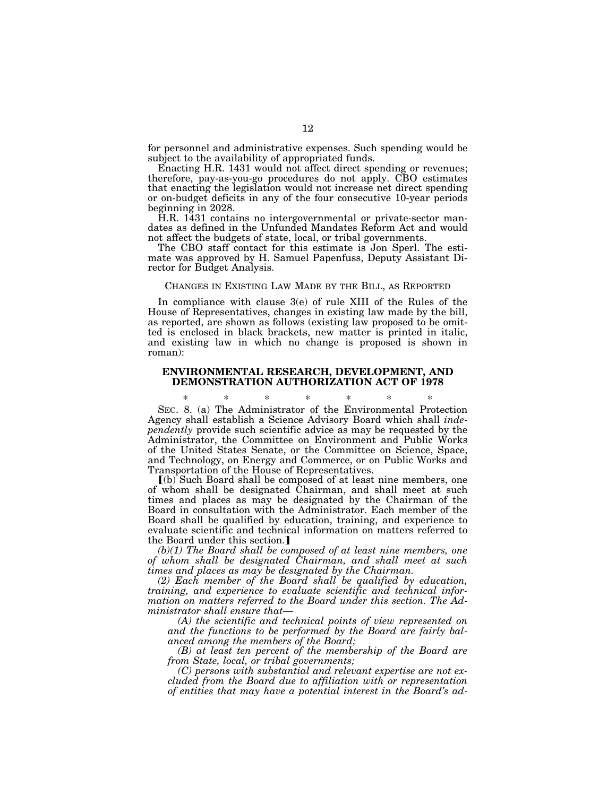for personnel and administrative expenses. Such spending would be subject to the availability of appropriated funds.

Enacting H.R. 1431 would not affect direct spending or revenues; therefore, pay-as-you-go procedures do not apply. CBO estimates that enacting the legislation would not increase net direct spending or on-budget deficits in any of the four consecutive 10-year periods beginning in 2028.

H.R. 1431 contains no intergovernmental or private-sector mandates as defined in the Unfunded Mandates Reform Act and would not affect the budgets of state, local, or tribal governments.

The CBO staff contact for this estimate is Jon Sperl. The estimate was approved by H. Samuel Papenfuss, Deputy Assistant Director for Budget Analysis.

# CHANGES IN EXISTING LAW MADE BY THE BILL, AS REPORTED

In compliance with clause 3(e) of rule XIII of the Rules of the House of Representatives, changes in existing law made by the bill, as reported, are shown as follows (existing law proposed to be omitted is enclosed in black brackets, new matter is printed in italic, and existing law in which no change is proposed is shown in roman):

# **ENVIRONMENTAL RESEARCH, DEVELOPMENT, AND DEMONSTRATION AUTHORIZATION ACT OF 1978**

\* \* \* \* \* \* \* SEC. 8. (a) The Administrator of the Environmental Protection Agency shall establish a Science Advisory Board which shall *independently* provide such scientific advice as may be requested by the Administrator, the Committee on Environment and Public Works of the United States Senate, or the Committee on Science, Space, and Technology, on Energy and Commerce, or on Public Works and Transportation of the House of Representatives.

ø(b) Such Board shall be composed of at least nine members, one of whom shall be designated Chairman, and shall meet at such times and places as may be designated by the Chairman of the Board in consultation with the Administrator. Each member of the Board shall be qualified by education, training, and experience to evaluate scientific and technical information on matters referred to the Board under this section.]

*(b)(1) The Board shall be composed of at least nine members, one of whom shall be designated Chairman, and shall meet at such times and places as may be designated by the Chairman.* 

*(2) Each member of the Board shall be qualified by education, training, and experience to evaluate scientific and technical information on matters referred to the Board under this section. The Administrator shall ensure that—* 

*(A) the scientific and technical points of view represented on and the functions to be performed by the Board are fairly balanced among the members of the Board;* 

*(B) at least ten percent of the membership of the Board are from State, local, or tribal governments;* 

*(C) persons with substantial and relevant expertise are not excluded from the Board due to affiliation with or representation of entities that may have a potential interest in the Board's ad-*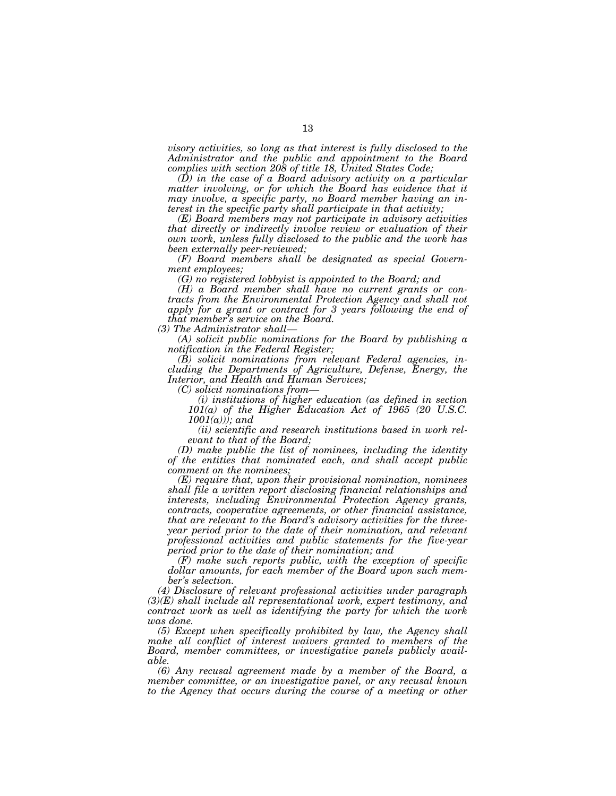*visory activities, so long as that interest is fully disclosed to the Administrator and the public and appointment to the Board complies with section 208 of title 18, United States Code;* 

*(D) in the case of a Board advisory activity on a particular*  matter involving, or for which the Board has evidence that it *may involve, a specific party, no Board member having an interest in the specific party shall participate in that activity;* 

*(E) Board members may not participate in advisory activities that directly or indirectly involve review or evaluation of their own work, unless fully disclosed to the public and the work has been externally peer-reviewed;* 

*(F) Board members shall be designated as special Government employees;* 

*(G) no registered lobbyist is appointed to the Board; and* 

*(H) a Board member shall have no current grants or contracts from the Environmental Protection Agency and shall not*  apply for a grant or contract for 3 years following the end of *that member's service on the Board.* 

*(3) The Administrator shall—* 

*(A) solicit public nominations for the Board by publishing a notification in the Federal Register;* 

*(B) solicit nominations from relevant Federal agencies, including the Departments of Agriculture, Defense, Energy, the Interior, and Health and Human Services;* 

*(C) solicit nominations from—* 

*(i) institutions of higher education (as defined in section 101(a) of the Higher Education Act of 1965 (20 U.S.C. 1001(a))); and* 

*(ii) scientific and research institutions based in work relevant to that of the Board;* 

*(D) make public the list of nominees, including the identity of the entities that nominated each, and shall accept public comment on the nominees;* 

*(E) require that, upon their provisional nomination, nominees shall file a written report disclosing financial relationships and interests, including Environmental Protection Agency grants, contracts, cooperative agreements, or other financial assistance, that are relevant to the Board's advisory activities for the threeyear period prior to the date of their nomination, and relevant professional activities and public statements for the five-year period prior to the date of their nomination; and* 

*(F) make such reports public, with the exception of specific dollar amounts, for each member of the Board upon such member's selection.* 

*(4) Disclosure of relevant professional activities under paragraph (3)(E) shall include all representational work, expert testimony, and contract work as well as identifying the party for which the work was done.* 

*(5) Except when specifically prohibited by law, the Agency shall*  make all conflict of interest waivers granted to members of the *Board, member committees, or investigative panels publicly available.* 

*(6) Any recusal agreement made by a member of the Board, a member committee, or an investigative panel, or any recusal known*  to the Agency that occurs during the course of a meeting or other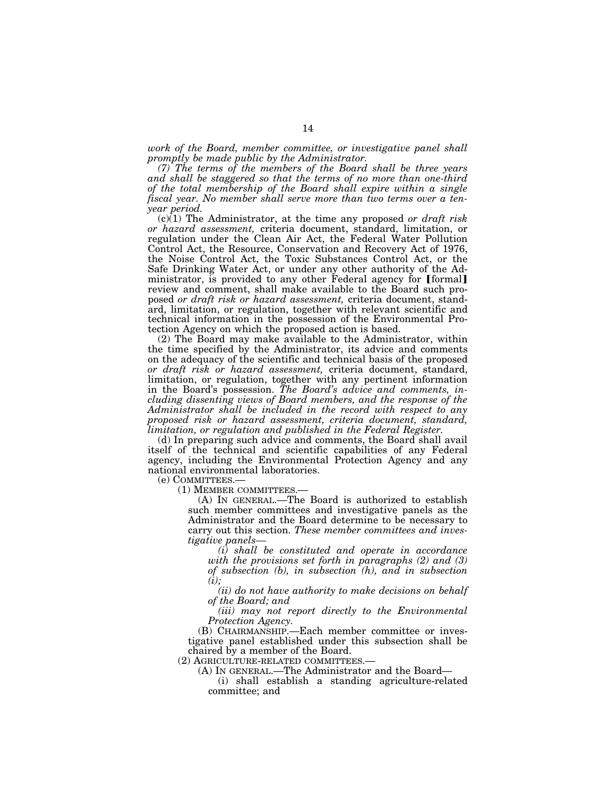*work of the Board, member committee, or investigative panel shall promptly be made public by the Administrator.* 

*(7) The terms of the members of the Board shall be three years and shall be staggered so that the terms of no more than one-third of the total membership of the Board shall expire within a single fiscal year. No member shall serve more than two terms over a tenyear period.* 

(c)(1) The Administrator, at the time any proposed *or draft risk or hazard assessment,* criteria document, standard, limitation, or regulation under the Clean Air Act, the Federal Water Pollution Control Act, the Resource, Conservation and Recovery Act of 1976, the Noise Control Act, the Toxic Substances Control Act, or the Safe Drinking Water Act, or under any other authority of the Administrator, is provided to any other Federal agency for [formal] review and comment, shall make available to the Board such proposed *or draft risk or hazard assessment,* criteria document, standard, limitation, or regulation, together with relevant scientific and technical information in the possession of the Environmental Protection Agency on which the proposed action is based.

(2) The Board may make available to the Administrator, within the time specified by the Administrator, its advice and comments on the adequacy of the scientific and technical basis of the proposed *or draft risk or hazard assessment,* criteria document, standard, limitation, or regulation, together with any pertinent information in the Board's possession. *The Board's advice and comments, including dissenting views of Board members, and the response of the Administrator shall be included in the record with respect to any proposed risk or hazard assessment, criteria document, standard, limitation, or regulation and published in the Federal Register.* 

(d) In preparing such advice and comments, the Board shall avail itself of the technical and scientific capabilities of any Federal agency, including the Environmental Protection Agency and any national environmental laboratories.

(e) COMMITTEES.—<br>(1) MEMBER COMMITTEES.–

 $(A)$  In GENERAL.—The Board is authorized to establish such member committees and investigative panels as the Administrator and the Board determine to be necessary to carry out this section. *These member committees and investigative panels—* 

*(i) shall be constituted and operate in accordance with the provisions set forth in paragraphs (2) and (3) of subsection (b), in subsection (h), and in subsection (i);* 

*(ii) do not have authority to make decisions on behalf of the Board; and* 

*(iii) may not report directly to the Environmental Protection Agency.* 

(B) CHAIRMANSHIP.—Each member committee or investigative panel established under this subsection shall be chaired by a member of the Board.

(2) AGRICULTURE-RELATED COMMITTEES.— (A) IN GENERAL.—The Administrator and the Board—

(i) shall establish a standing agriculture-related committee; and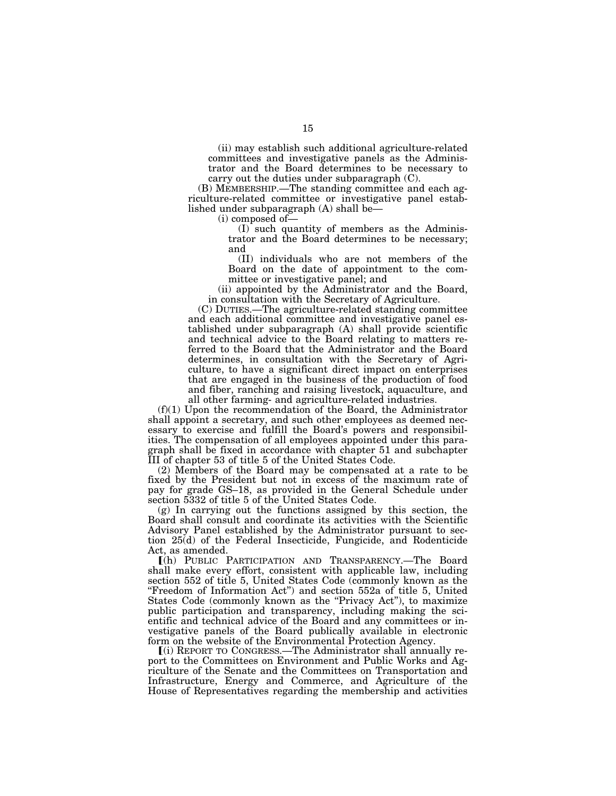(ii) may establish such additional agriculture-related committees and investigative panels as the Administrator and the Board determines to be necessary to carry out the duties under subparagraph (C).

(B) MEMBERSHIP.—The standing committee and each agriculture-related committee or investigative panel established under subparagraph (A) shall be—

(i) composed of—

(I) such quantity of members as the Administrator and the Board determines to be necessary; and

(II) individuals who are not members of the Board on the date of appointment to the committee or investigative panel; and

(ii) appointed by the Administrator and the Board, in consultation with the Secretary of Agriculture.

(C) DUTIES.—The agriculture-related standing committee and each additional committee and investigative panel established under subparagraph (A) shall provide scientific and technical advice to the Board relating to matters referred to the Board that the Administrator and the Board determines, in consultation with the Secretary of Agriculture, to have a significant direct impact on enterprises that are engaged in the business of the production of food and fiber, ranching and raising livestock, aquaculture, and all other farming- and agriculture-related industries.

(f)(1) Upon the recommendation of the Board, the Administrator shall appoint a secretary, and such other employees as deemed necessary to exercise and fulfill the Board's powers and responsibilities. The compensation of all employees appointed under this paragraph shall be fixed in accordance with chapter 51 and subchapter III of chapter 53 of title 5 of the United States Code.

(2) Members of the Board may be compensated at a rate to be fixed by the President but not in excess of the maximum rate of pay for grade GS–18, as provided in the General Schedule under section 5332 of title 5 of the United States Code.

(g) In carrying out the functions assigned by this section, the Board shall consult and coordinate its activities with the Scientific Advisory Panel established by the Administrator pursuant to section 25(d) of the Federal Insecticide, Fungicide, and Rodenticide Act, as amended.

ø(h) PUBLIC PARTICIPATION AND TRANSPARENCY.—The Board shall make every effort, consistent with applicable law, including section 552 of title 5, United States Code (commonly known as the "Freedom of Information Act") and section 552a of title 5, United States Code (commonly known as the "Privacy Act"), to maximize public participation and transparency, including making the scientific and technical advice of the Board and any committees or investigative panels of the Board publically available in electronic form on the website of the Environmental Protection Agency.

ø(i) REPORT TO CONGRESS.—The Administrator shall annually report to the Committees on Environment and Public Works and Agriculture of the Senate and the Committees on Transportation and Infrastructure, Energy and Commerce, and Agriculture of the House of Representatives regarding the membership and activities